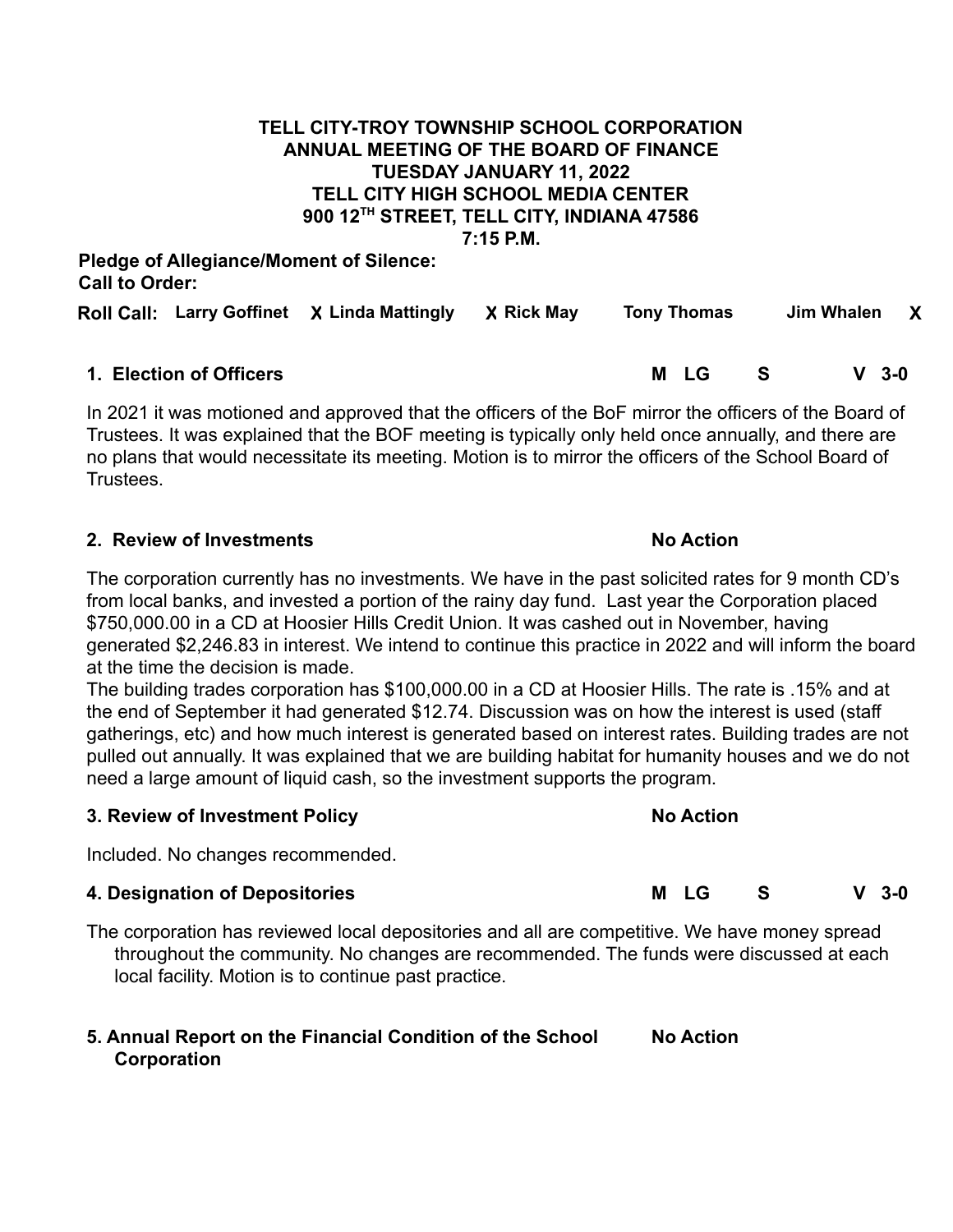### **TELL CITY-TROY TOWNSHIP SCHOOL CORPORATION ANNUAL MEETING OF THE BOARD OF FINANCE TUESDAY JANUARY 11, 2022 TELL CITY HIGH SCHOOL MEDIA CENTER 900 12TH STREET, TELL CITY, INDIANA 47586 7:15 P.M.**

**Pledge of Allegiance/Moment of Silence: Call to Order:**

**Roll Call: Larry Goffinet X Linda Mattingly X Rick May Tony Thomas Jim Whalen X**

## **1. Election of Officers M LG S V 3-0**

In 2021 it was motioned and approved that the officers of the BoF mirror the officers of the Board of Trustees. It was explained that the BOF meeting is typically only held once annually, and there are no plans that would necessitate its meeting. Motion is to mirror the officers of the School Board of **Trustees** 

# **2. Review of Investments No Action**

The corporation currently has no investments. We have in the past solicited rates for 9 month CD's from local banks, and invested a portion of the rainy day fund. Last year the Corporation placed \$750,000.00 in a CD at Hoosier Hills Credit Union. It was cashed out in November, having generated \$2,246.83 in interest. We intend to continue this practice in 2022 and will inform the board at the time the decision is made.

The building trades corporation has \$100,000.00 in a CD at Hoosier Hills. The rate is .15% and at the end of September it had generated \$12.74. Discussion was on how the interest is used (staff gatherings, etc) and how much interest is generated based on interest rates. Building trades are not pulled out annually. It was explained that we are building habitat for humanity houses and we do not need a large amount of liquid cash, so the investment supports the program.

### **3. Review of Investment Policy No Action**

Included. No changes recommended.

## **4. Designation of Depositories M LG S V 3-0**

The corporation has reviewed local depositories and all are competitive. We have money spread throughout the community. No changes are recommended. The funds were discussed at each local facility. Motion is to continue past practice.

#### **5. Annual Report on the Financial Condition of the School Corporation No Action**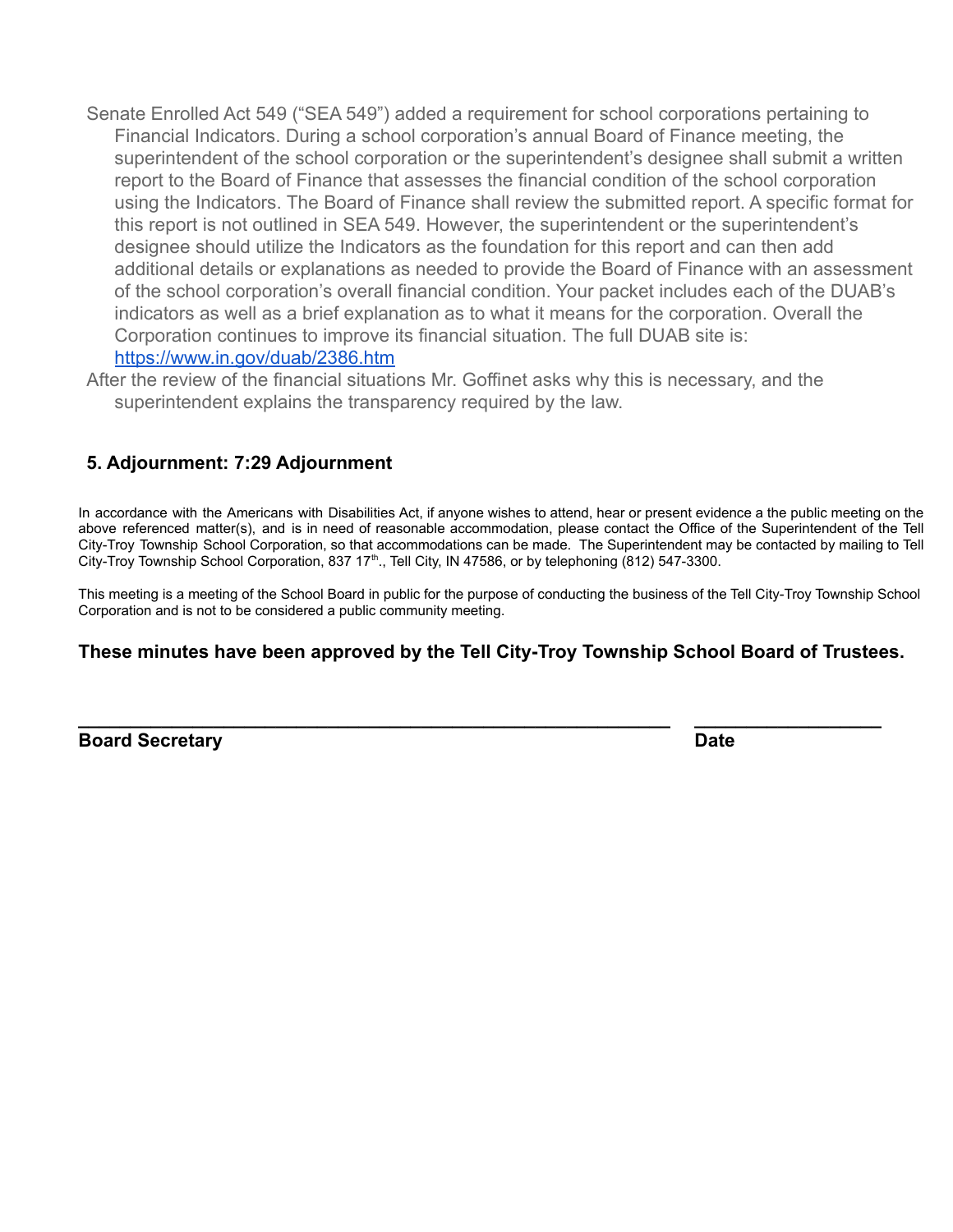Senate Enrolled Act 549 ("SEA 549") added a requirement for school corporations pertaining to Financial Indicators. During a school corporation's annual Board of Finance meeting, the superintendent of the school corporation or the superintendent's designee shall submit a written report to the Board of Finance that assesses the financial condition of the school corporation using the Indicators. The Board of Finance shall review the submitted report. A specific format for this report is not outlined in SEA 549. However, the superintendent or the superintendent's designee should utilize the Indicators as the foundation for this report and can then add additional details or explanations as needed to provide the Board of Finance with an assessment of the school corporation's overall financial condition. Your packet includes each of the DUAB's indicators as well as a brief explanation as to what it means for the corporation. Overall the Corporation continues to improve its financial situation. The full DUAB site is: <https://www.in.gov/duab/2386.htm>

After the review of the financial situations Mr. Goffinet asks why this is necessary, and the superintendent explains the transparency required by the law.

## **5. Adjournment: 7:29 Adjournment**

In accordance with the Americans with Disabilities Act, if anyone wishes to attend, hear or present evidence a the public meeting on the above referenced matter(s), and is in need of reasonable accommodation, please contact the Office of the Superintendent of the Tell City-Troy Township School Corporation, so that accommodations can be made. The Superintendent may be contacted by mailing to Tell City-Troy Township School Corporation, 837 17<sup>th</sup>., Tell City, IN 47586, or by telephoning (812) 547-3300.

This meeting is a meeting of the School Board in public for the purpose of conducting the business of the Tell City-Troy Township School Corporation and is not to be considered a public community meeting.

### **These minutes have been approved by the Tell City-Troy Township School Board of Trustees.**

**\_\_\_\_\_\_\_\_\_\_\_\_\_\_\_\_\_\_\_\_\_\_\_\_\_\_\_\_\_\_\_\_\_\_\_\_\_\_\_\_\_\_\_\_\_\_\_\_\_\_\_\_\_\_\_\_\_ \_\_\_\_\_\_\_\_\_\_\_\_\_\_\_\_\_\_**

| <b>Board Secretary</b> | Date |
|------------------------|------|
|                        |      |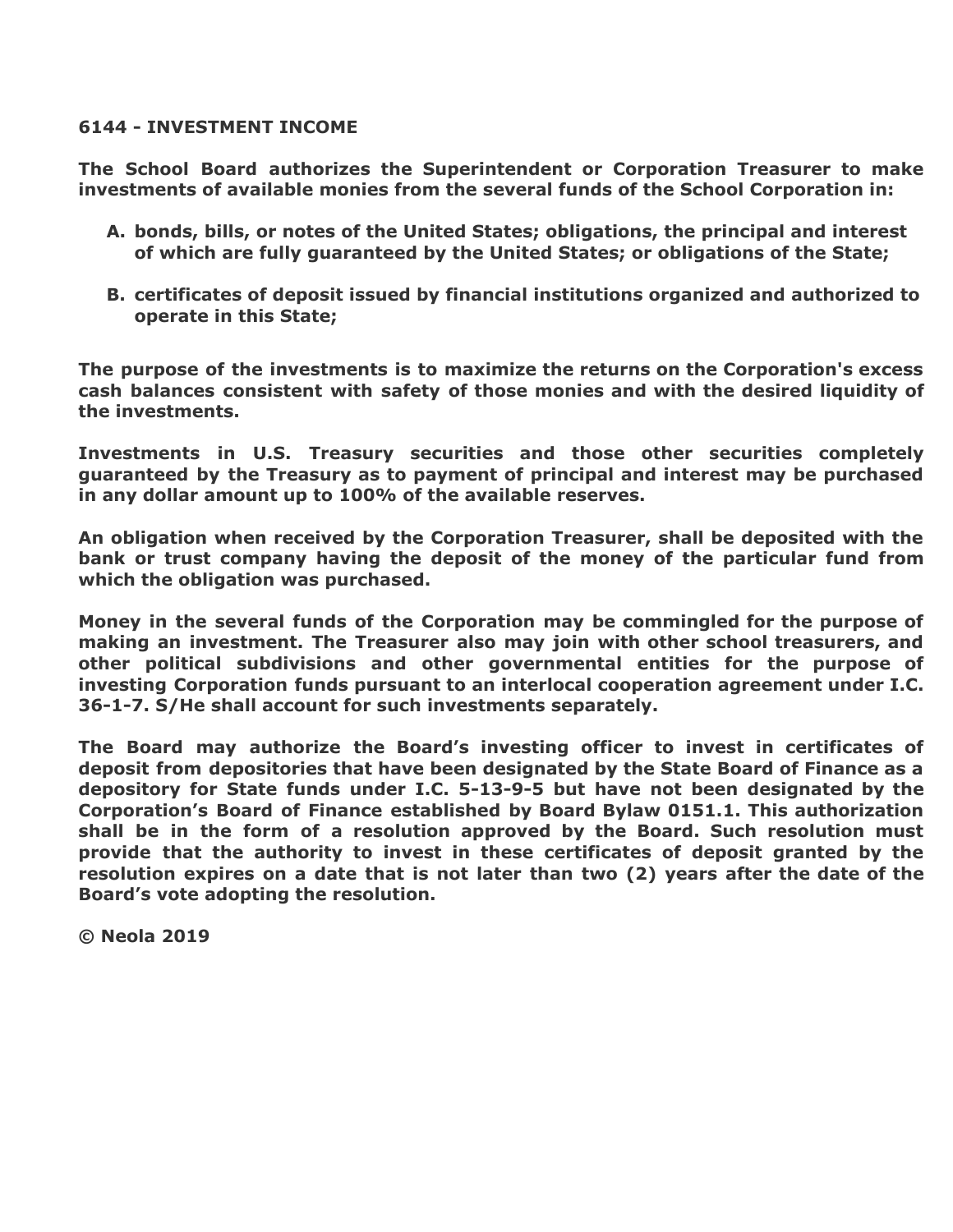#### **6144 - INVESTMENT INCOME**

**The School Board authorizes the Superintendent or Corporation Treasurer to make investments of available monies from the several funds of the School Corporation in:**

- **A. bonds, bills, or notes of the United States; obligations, the principal and interest of which are fully guaranteed by the United States; or obligations of the State;**
- **B. certificates of deposit issued by financial institutions organized and authorized to operate in this State;**

**The purpose of the investments is to maximize the returns on the Corporation's excess cash balances consistent with safety of those monies and with the desired liquidity of the investments.**

**Investments in U.S. Treasury securities and those other securities completely guaranteed by the Treasury as to payment of principal and interest may be purchased in any dollar amount up to 100% of the available reserves.**

**An obligation when received by the Corporation Treasurer, shall be deposited with the bank or trust company having the deposit of the money of the particular fund from which the obligation was purchased.**

**Money in the several funds of the Corporation may be commingled for the purpose of making an investment. The Treasurer also may join with other school treasurers, and other political subdivisions and other governmental entities for the purpose of investing Corporation funds pursuant to an interlocal cooperation agreement under I.C. 36-1-7. S/He shall account for such investments separately.**

**The Board may authorize the Board's investing officer to invest in certificates of deposit from depositories that have been designated by the State Board of Finance as a depository for State funds under I.C. 5-13-9-5 but have not been designated by the Corporation's Board of Finance established by Board Bylaw 0151.1. This authorization shall be in the form of a resolution approved by the Board. Such resolution must provide that the authority to invest in these certificates of deposit granted by the resolution expires on a date that is not later than two (2) years after the date of the Board's vote adopting the resolution.**

**© Neola 2019**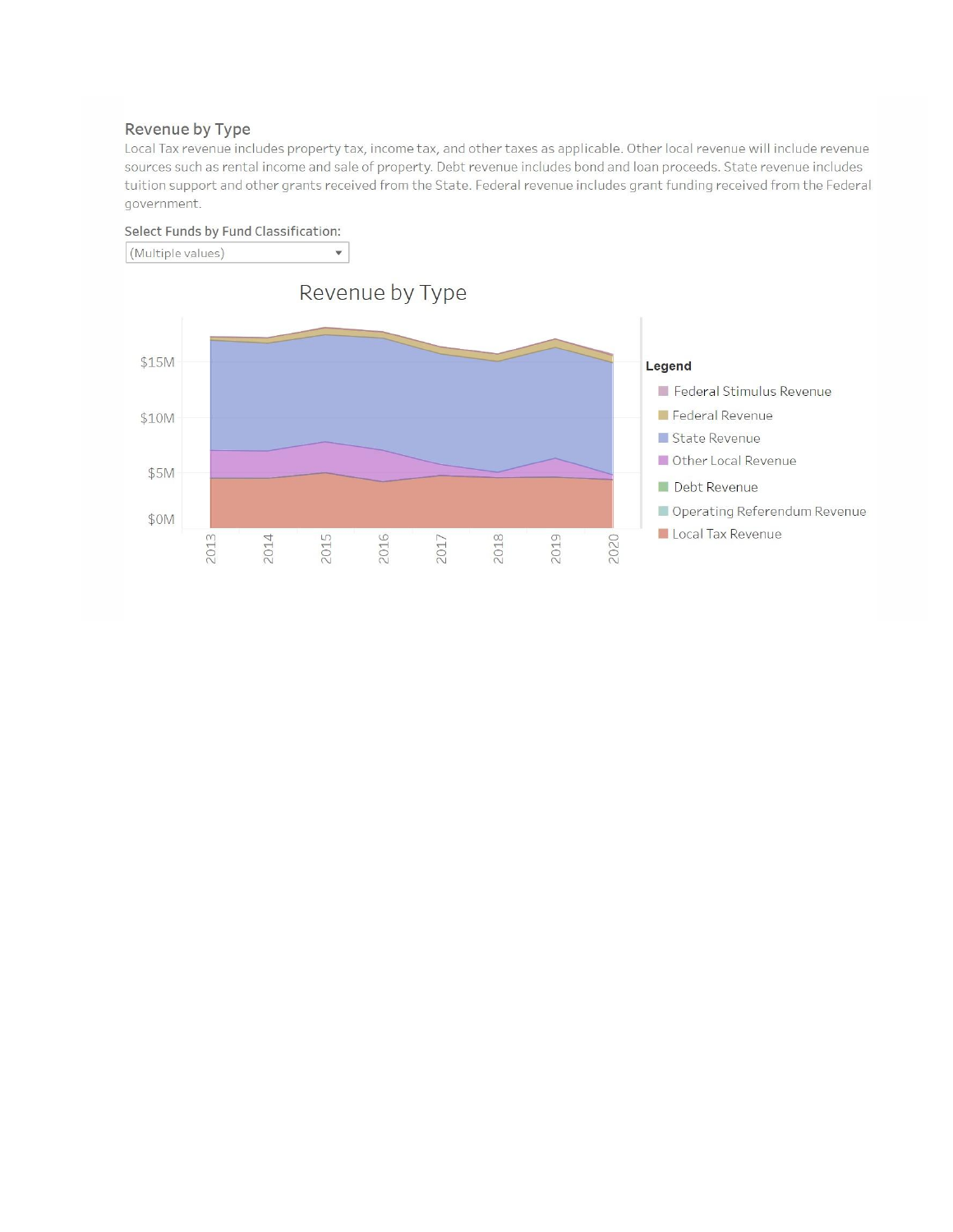#### Revenue by Type

Local Tax revenue includes property tax, income tax, and other taxes as applicable. Other local revenue will include revenue sources such as rental income and sale of property. Debt revenue includes bond and loan proceeds. State revenue includes tuition support and other grants received from the State. Federal revenue includes grant funding received from the Federal government.



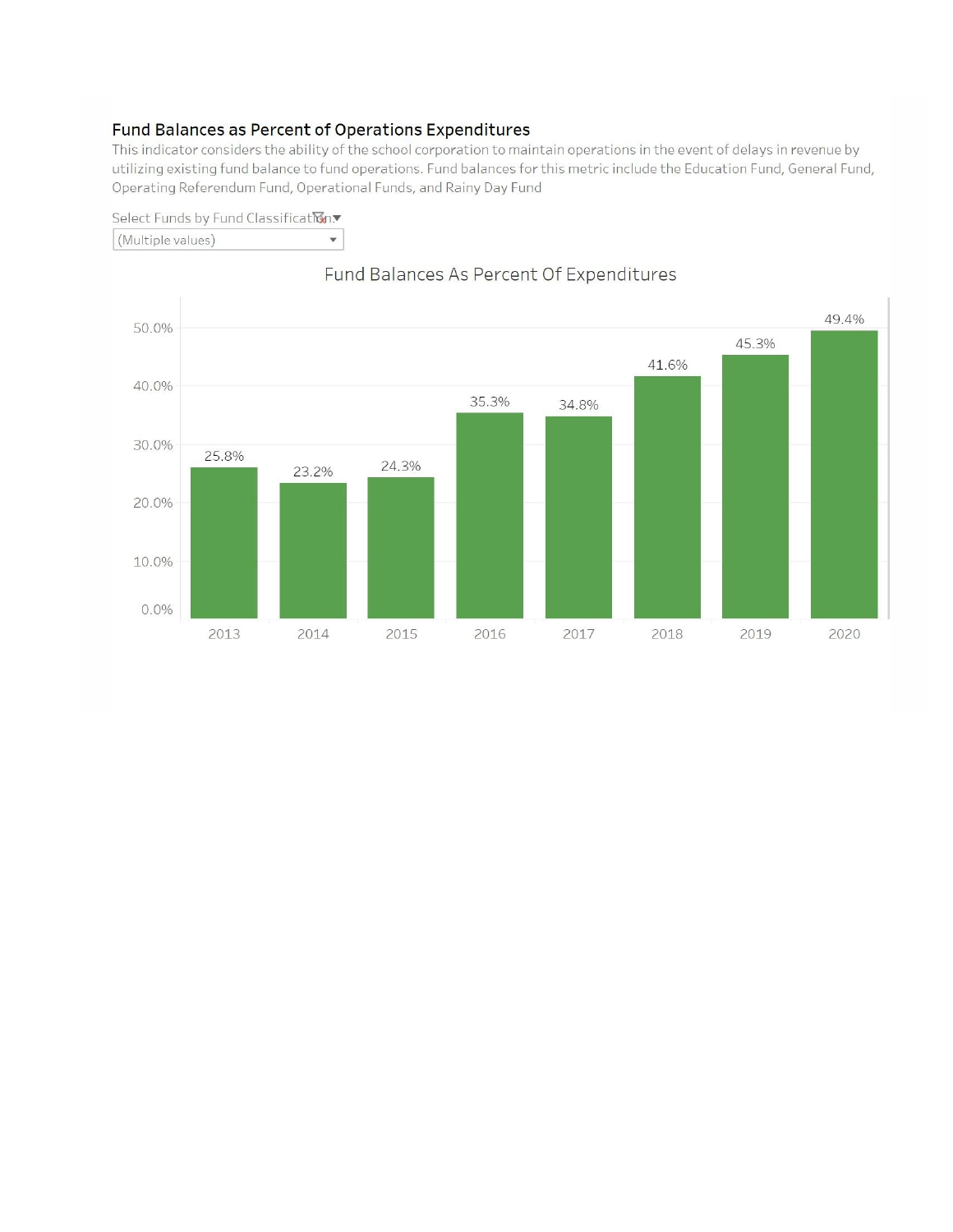#### Fund Balances as Percent of Operations Expenditures

 $\blacktriangledown$ 

This indicator considers the ability of the school corporation to maintain operations in the event of delays in revenue by utilizing existing fund balance to fund operations. Fund balances for this metric include the Education Fund, General Fund, Operating Referendum Fund, Operational Funds, and Rainy Day Fund

Select Funds by Fund ClassificatMn.

(Multiple values)



## Fund Balances As Percent Of Expenditures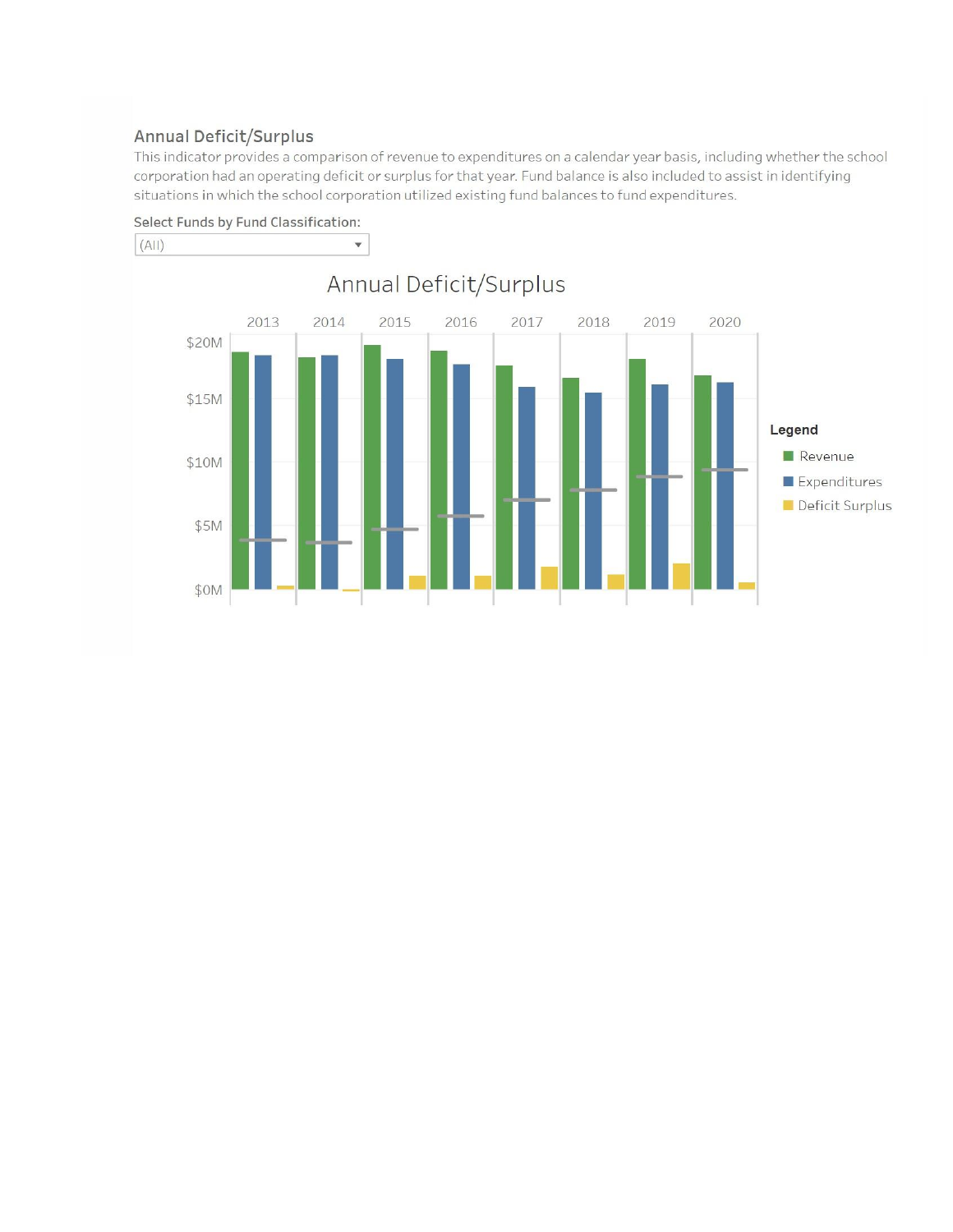#### **Annual Deficit/Surplus**

This indicator provides a comparison of revenue to expenditures on a calendar year basis, including whether the school corporation had an operating deficit or surplus for that year. Fund balance is also included to assist in identifying situations in which the school corporation utilized existing fund balances to fund expenditures.



#### Select Funds by Fund Classification: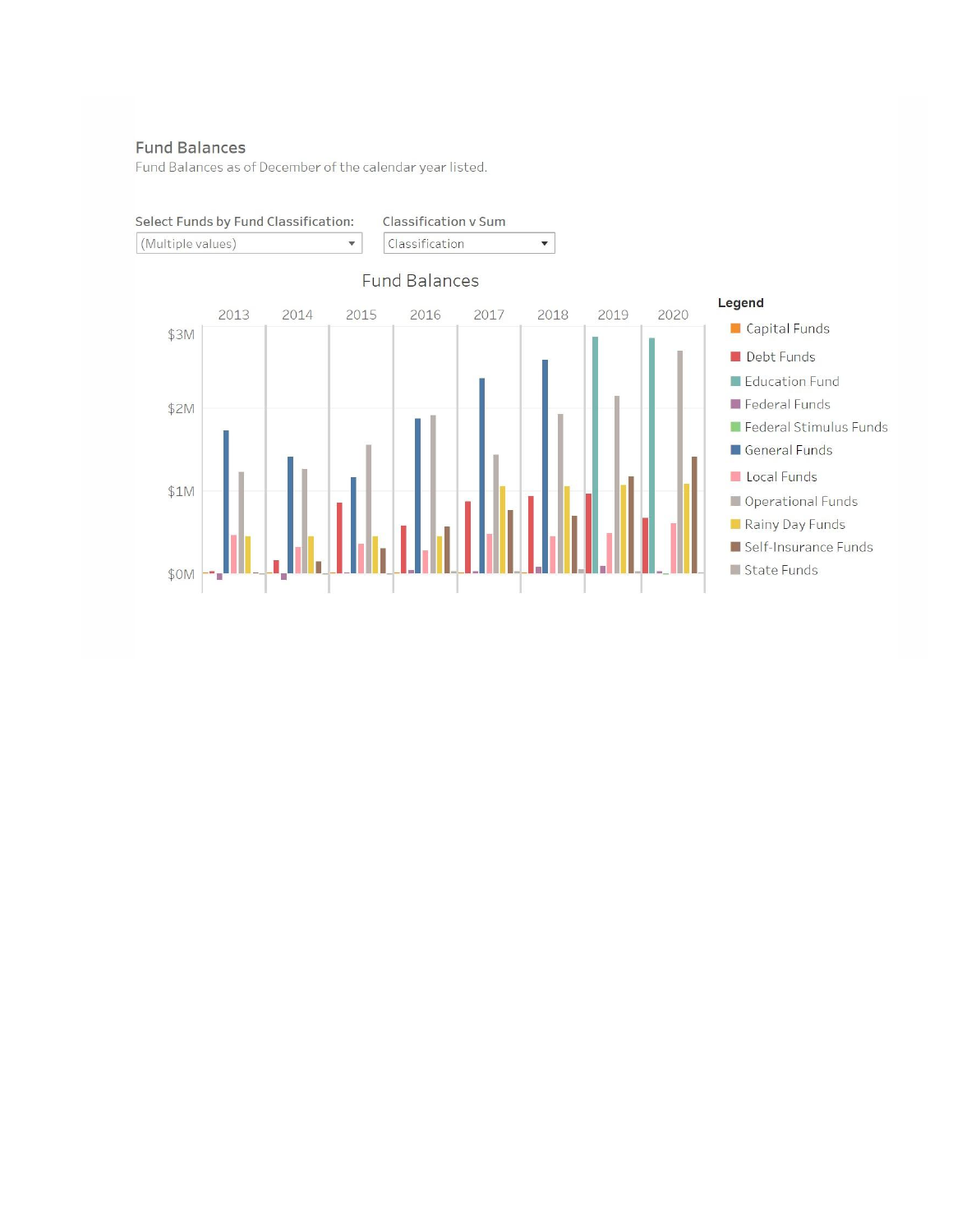#### **Fund Balances**

Fund Balances as of December of the calendar year listed.